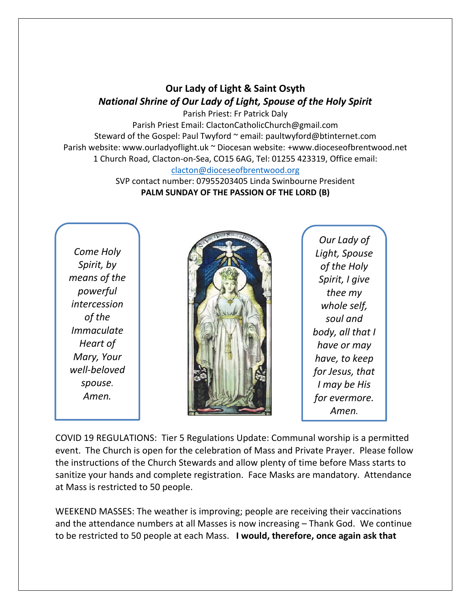## **Our Lady of Light & Saint Osyth** *National Shrine of Our Lady of Light, Spouse of the Holy Spirit*

Parish Priest: Fr Patrick Daly Parish Priest Email: ClactonCatholicChurch@gmail.com Steward of the Gospel: Paul Twyford ~ email: paultwyford@btinternet.com Parish website: www.ourladyoflight.uk ~ Diocesan website: +www.dioceseofbrentwood.net 1 Church Road, Clacton-on-Sea, CO15 6AG, Tel: 01255 423319, Office email: [clacton@dioceseofbrentwood.org](mailto:clacton@dioceseofbrentwood.org)

> SVP contact number: 07955203405 Linda Swinbourne President **PALM SUNDAY OF THE PASSION OF THE LORD (B)**

*Come Holy Spirit, by means of the powerful intercession of the Immaculate Heart of Mary, Your well-beloved spouse. Amen.*



*Our Lady of Light, Spouse of the Holy Spirit, I give thee my whole self, soul and body, all that I have or may have, to keep for Jesus, that I may be His for evermore. Amen.*

COVID 19 REGULATIONS: Tier 5 Regulations Update: Communal worship is a permitted event. The Church is open for the celebration of Mass and Private Prayer. Please follow the instructions of the Church Stewards and allow plenty of time before Mass starts to sanitize your hands and complete registration. Face Masks are mandatory. Attendance at Mass is restricted to 50 people.

WEEKEND MASSES: The weather is improving; people are receiving their vaccinations and the attendance numbers at all Masses is now increasing – Thank God. We continue to be restricted to 50 people at each Mass. **I would, therefore, once again ask that**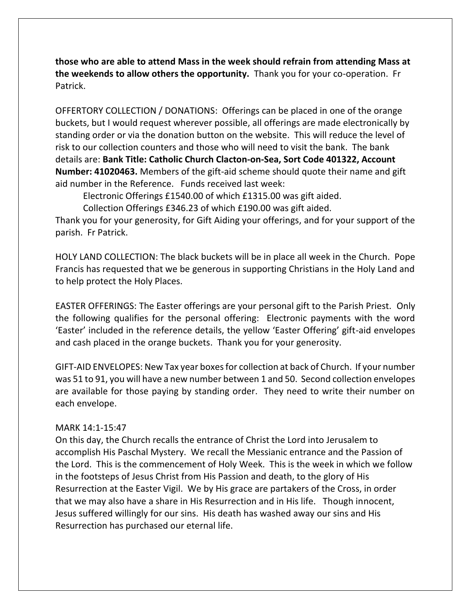**those who are able to attend Mass in the week should refrain from attending Mass at the weekends to allow others the opportunity.** Thank you for your co-operation. Fr Patrick.

OFFERTORY COLLECTION / DONATIONS: Offerings can be placed in one of the orange buckets, but I would request wherever possible, all offerings are made electronically by standing order or via the donation button on the website. This will reduce the level of risk to our collection counters and those who will need to visit the bank. The bank details are: **Bank Title: Catholic Church Clacton-on-Sea, Sort Code 401322, Account Number: 41020463.** Members of the gift-aid scheme should quote their name and gift aid number in the Reference. Funds received last week:

Electronic Offerings £1540.00 of which £1315.00 was gift aided.

Collection Offerings £346.23 of which £190.00 was gift aided.

Thank you for your generosity, for Gift Aiding your offerings, and for your support of the parish. Fr Patrick.

HOLY LAND COLLECTION: The black buckets will be in place all week in the Church. Pope Francis has requested that we be generous in supporting Christians in the Holy Land and to help protect the Holy Places.

EASTER OFFERINGS: The Easter offerings are your personal gift to the Parish Priest. Only the following qualifies for the personal offering: Electronic payments with the word 'Easter' included in the reference details, the yellow 'Easter Offering' gift-aid envelopes and cash placed in the orange buckets. Thank you for your generosity.

GIFT-AID ENVELOPES: New Tax year boxes for collection at back of Church. If your number was 51 to 91, you will have a new number between 1 and 50. Second collection envelopes are available for those paying by standing order. They need to write their number on each envelope.

## MARK 14:1-15:47

On this day, the Church recalls the entrance of Christ the Lord into Jerusalem to accomplish His Paschal Mystery. We recall the Messianic entrance and the Passion of the Lord. This is the commencement of Holy Week. This is the week in which we follow in the footsteps of Jesus Christ from His Passion and death, to the glory of His Resurrection at the Easter Vigil. We by His grace are partakers of the Cross, in order that we may also have a share in His Resurrection and in His life. Though innocent, Jesus suffered willingly for our sins. His death has washed away our sins and His Resurrection has purchased our eternal life.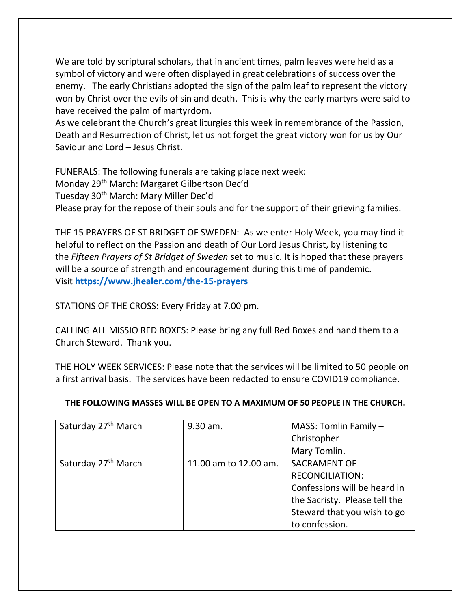We are told by scriptural scholars, that in ancient times, palm leaves were held as a symbol of victory and were often displayed in great celebrations of success over the enemy. The early Christians adopted the sign of the palm leaf to represent the victory won by Christ over the evils of sin and death. This is why the early martyrs were said to have received the palm of martyrdom.

As we celebrant the Church's great liturgies this week in remembrance of the Passion, Death and Resurrection of Christ, let us not forget the great victory won for us by Our Saviour and Lord – Jesus Christ.

FUNERALS: The following funerals are taking place next week: Monday 29th March: Margaret Gilbertson Dec'd Tuesday 30<sup>th</sup> March: Mary Miller Dec'd Please pray for the repose of their souls and for the support of their grieving families.

THE 15 PRAYERS OF ST BRIDGET OF SWEDEN: As we enter Holy Week, you may find it helpful to reflect on the Passion and death of Our Lord Jesus Christ, by listening to the *Fifteen Prayers of St Bridget of Sweden* set to music. It is hoped that these prayers will be a source of strength and encouragement during this time of pandemic. Visit **<https://www.jhealer.com/the-15-prayers>**

STATIONS OF THE CROSS: Every Friday at 7.00 pm.

CALLING ALL MISSIO RED BOXES: Please bring any full Red Boxes and hand them to a Church Steward. Thank you.

THE HOLY WEEK SERVICES: Please note that the services will be limited to 50 people on a first arrival basis. The services have been redacted to ensure COVID19 compliance.

| Saturday 27 <sup>th</sup> March | 9.30 am.              | MASS: Tomlin Family -         |
|---------------------------------|-----------------------|-------------------------------|
|                                 |                       | Christopher                   |
|                                 |                       | Mary Tomlin.                  |
| Saturday 27 <sup>th</sup> March | 11.00 am to 12.00 am. | <b>SACRAMENT OF</b>           |
|                                 |                       | <b>RECONCILIATION:</b>        |
|                                 |                       | Confessions will be heard in  |
|                                 |                       | the Sacristy. Please tell the |
|                                 |                       | Steward that you wish to go   |
|                                 |                       | to confession.                |

## **THE FOLLOWING MASSES WILL BE OPEN TO A MAXIMUM OF 50 PEOPLE IN THE CHURCH.**